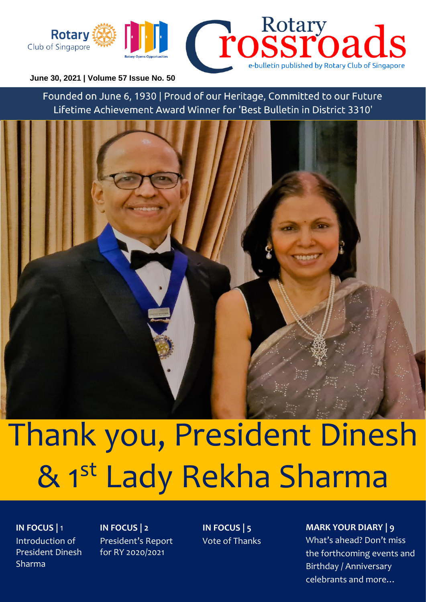

#### **June 30, 2021 | Volume 57 Issue No. 50**

Founded on June 6, 1930 | Proud of our Heritage, Committed to our Future Lifetime Achievement Award Winner for 'Best Bulletin in District 3310'



# Thank you, President Dinesh & 1st Lady Rekha Sharma

**IN FOCUS |** 1 Introduction of President Dinesh Sharma

**IN FOCUS | 2** President's Report for RY 2020/2021

**IN FOCUS | 5** Vote of Thanks

#### **MARK YOUR DIARY | 9**

What's ahead? Don't miss the forthcoming events and Birthday / Anniversary celebrants and more…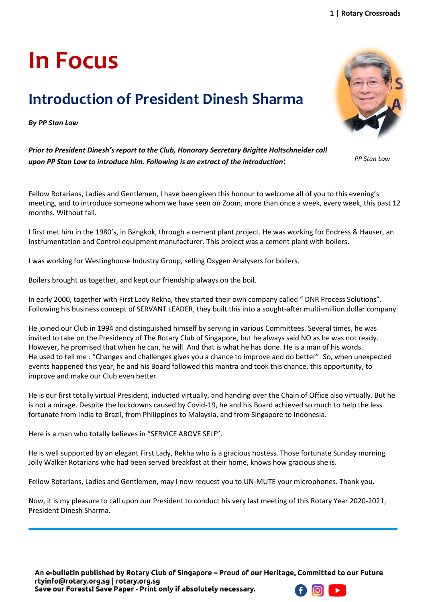## **Introduction of President Dinesh Sharma**

*By PP Stan Low*

**In Focus** 

*Prior to President Dinesh's report to the Club, Honorary Secretary Brigitte Holtschneider call upon PP Stan Low to introduce him. Following is an extract of the introduction***:**

Fellow Rotarians, Ladies and Gentlemen, I have been given this honour to welcome all of you to this evening's meeting, and to introduce someone whom we have seen on Zoom, more than once a week, every week, this past 12 months. Without fail.

I first met him in the 1980's, in Bangkok, through a cement plant project. He was working for Endress & Hauser, an Instrumentation and Control equipment manufacturer. This project was a cement plant with boilers.

I was working for Westinghouse Industry Group, selling Oxygen Analysers for boilers.

Boilers brought us together, and kept our friendship always on the boil.

In early 2000, together with First Lady Rekha, they started their own company called " DNR Process Solutions". Following his business concept of SERVANT LEADER, they built this into a sought-after multi-million dollar company.

He joined our Club in 1994 and distinguished himself by serving in various Committees. Several times, he was invited to take on the Presidency of The Rotary Club of Singapore, but he always said NO as he was not ready. However, he promised that when he can, he will. And that is what he has done. He is a man of his words. He used to tell me : "Changes and challenges gives you a chance to improve and do better". So, when unexpected events happened this year, he and his Board followed this mantra and took this chance, this opportunity, to improve and make our Club even better.

He is our first totally virtual President, inducted virtually, and handing over the Chain of Office also virtually. But he is not a mirage. Despite the lockdowns caused by Covid-19, he and his Board achieved so much to help the less fortunate from India to Brazil, from Philippines to Malaysia, and from Singapore to Indonesia.

Here is a man who totally believes in "SERVICE ABOVE SELF".

He is well supported by an elegant First Lady, Rekha who is a gracious hostess. Those fortunate Sunday morning Jolly Walker Rotarians who had been served breakfast at their home, knows how gracious she is.

Fellow Rotarians, Ladies and Gentlemen, may I now request you to UN-MUTE your microphones. Thank you.

Now, it is my pleasure to call upon our President to conduct his very last meeting of this Rotary Year 2020-2021, President Dinesh Sharma.



*PP Stan Low*

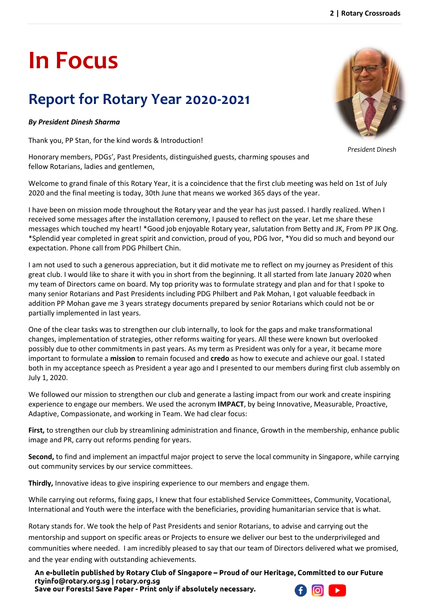# **In Focus**

## **Report for Rotary Year 2020-2021**

#### *By President Dinesh Sharma*

Thank you, PP Stan, for the kind words & Introduction!

Honorary members, PDGs', Past Presidents, distinguished guests, charming spouses and fellow Rotarians, ladies and gentlemen,

Welcome to grand finale of this Rotary Year, it is a coincidence that the first club meeting was held on 1st of July 2020 and the final meeting is today, 30th June that means we worked 365 days of the year.

I have been on mission mode throughout the Rotary year and the year has just passed. I hardly realized. When I received some messages after the installation ceremony, I paused to reflect on the year. Let me share these messages which touched my heart! \*Good job enjoyable Rotary year, salutation from Betty and JK, From PP JK Ong. \*Splendid year completed in great spirit and conviction, proud of you, PDG Ivor, \*You did so much and beyond our expectation. Phone call from PDG Philbert Chin.

I am not used to such a generous appreciation, but it did motivate me to reflect on my journey as President of this great club. I would like to share it with you in short from the beginning. It all started from late January 2020 when my team of Directors came on board. My top priority was to formulate strategy and plan and for that I spoke to many senior Rotarians and Past Presidents including PDG Philbert and Pak Mohan, I got valuable feedback in addition PP Mohan gave me 3 years strategy documents prepared by senior Rotarians which could not be or partially implemented in last years.

One of the clear tasks was to strengthen our club internally, to look for the gaps and make transformational changes, implementation of strategies, other reforms waiting for years. All these were known but overlooked possibly due to other commitments in past years. As my term as President was only for a year, it became more important to formulate a **mission** to remain focused and **credo** as how to execute and achieve our goal. I stated both in my acceptance speech as President a year ago and I presented to our members during first club assembly on July 1, 2020.

We followed our mission to strengthen our club and generate a lasting impact from our work and create inspiring experience to engage our members. We used the acronym **IMPACT**, by being Innovative, Measurable, Proactive, Adaptive, Compassionate, and working in Team. We had clear focus:

**First,** to strengthen our club by streamlining administration and finance, Growth in the membership, enhance public image and PR, carry out reforms pending for years.

**Second,** to find and implement an impactful major project to serve the local community in Singapore, while carrying out community services by our service committees.

**Thirdly,** Innovative ideas to give inspiring experience to our members and engage them.

While carrying out reforms, fixing gaps, I knew that four established Service Committees, Community, Vocational, International and Youth were the interface with the beneficiaries, providing humanitarian service that is what.

Rotary stands for. We took the help of Past Presidents and senior Rotarians, to advise and carrying out the mentorship and support on specific areas or Projects to ensure we deliver our best to the underprivileged and communities where needed. I am incredibly pleased to say that our team of Directors delivered what we promised, and the year ending with outstanding achievements.

An e-bulletin published by Rotary Club of Singapore – Proud of our Heritage, Committed to our Future rtyinfo@rotary.org.sg | rotary.org.sg

Save our Forests! Save Paper - Print only if absolutely necessary.



*President Dinesh* 

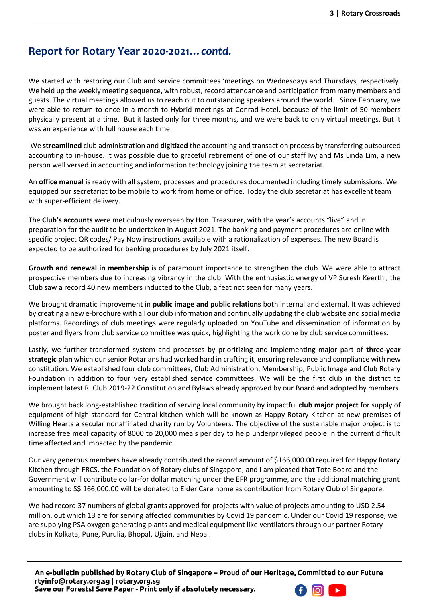#### **Report for Rotary Year 2020-2021…***contd.*

We started with restoring our Club and service committees 'meetings on Wednesdays and Thursdays, respectively. We held up the weekly meeting sequence, with robust, record attendance and participation from many members and guests. The virtual meetings allowed us to reach out to outstanding speakers around the world. Since February, we were able to return to once in a month to Hybrid meetings at Conrad Hotel, because of the limit of 50 members physically present at a time. But it lasted only for three months, and we were back to only virtual meetings. But it was an experience with full house each time.

We **streamlined** club administration and **digitized** the accounting and transaction process by transferring outsourced accounting to in-house. It was possible due to graceful retirement of one of our staff Ivy and Ms Linda Lim, a new person well versed in accounting and information technology joining the team at secretariat.

An **office manual** is ready with all system, processes and procedures documented including timely submissions. We equipped our secretariat to be mobile to work from home or office. Today the club secretariat has excellent team with super-efficient delivery.

The **Club's accounts** were meticulously overseen by Hon. Treasurer, with the year's accounts "live" and in preparation for the audit to be undertaken in August 2021. The banking and payment procedures are online with specific project QR codes/ Pay Now instructions available with a rationalization of expenses. The new Board is expected to be authorized for banking procedures by July 2021 itself.

**Growth and renewal in membership** is of paramount importance to strengthen the club. We were able to attract prospective members due to increasing vibrancy in the club. With the enthusiastic energy of VP Suresh Keerthi, the Club saw a record 40 new members inducted to the Club, a feat not seen for many years.

We brought dramatic improvement in **public image and public relations** both internal and external. It was achieved by creating a new e-brochure with all our club information and continually updating the club website and social media platforms. Recordings of club meetings were regularly uploaded on YouTube and dissemination of information by poster and flyers from club service committee was quick, highlighting the work done by club service committees.

Lastly, we further transformed system and processes by prioritizing and implementing major part of **three-year strategic plan** which our senior Rotarians had worked hard in crafting it, ensuring relevance and compliance with new constitution. We established four club committees, Club Administration, Membership, Public Image and Club Rotary Foundation in addition to four very established service committees. We will be the first club in the district to implement latest RI Club 2019-22 Constitution and Bylaws already approved by our Board and adopted by members.

We brought back long-established tradition of serving local community by impactful **club major project** for supply of equipment of high standard for Central kitchen which will be known as Happy Rotary Kitchen at new premises of Willing Hearts a secular nonaffiliated charity run by Volunteers. The objective of the sustainable major project is to increase free meal capacity of 8000 to 20,000 meals per day to help underprivileged people in the current difficult time affected and impacted by the pandemic.

Our very generous members have already contributed the record amount of \$166,000.00 required for Happy Rotary Kitchen through FRCS, the Foundation of Rotary clubs of Singapore, and I am pleased that Tote Board and the Government will contribute dollar-for dollar matching under the EFR programme, and the additional matching grant amounting to S\$ 166,000.00 will be donated to Elder Care home as contribution from Rotary Club of Singapore.

We had record 37 numbers of global grants approved for projects with value of projects amounting to USD 2.54 million, out which 13 are for serving affected communities by Covid 19 pandemic. Under our Covid 19 response, we are supplying PSA oxygen generating plants and medical equipment like ventilators through our partner Rotary clubs in Kolkata, Pune, Purulia, Bhopal, Ujjain, and Nepal.

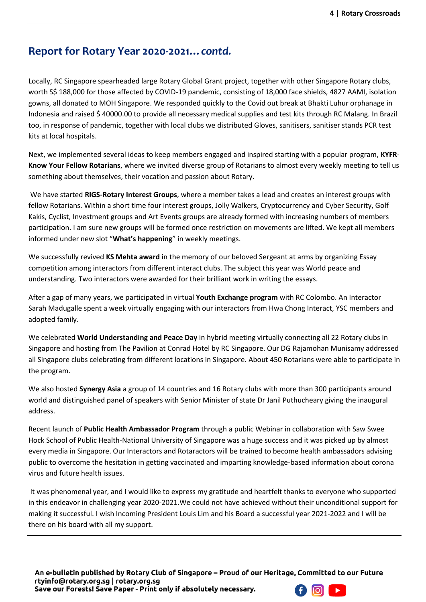#### **Report for Rotary Year 2020-2021…***contd.*

Locally, RC Singapore spearheaded large Rotary Global Grant project, together with other Singapore Rotary clubs, worth S\$ 188,000 for those affected by COVID-19 pandemic, consisting of 18,000 face shields, 4827 AAMI, isolation gowns, all donated to MOH Singapore. We responded quickly to the Covid out break at Bhakti Luhur orphanage in Indonesia and raised \$ 40000.00 to provide all necessary medical supplies and test kits through RC Malang. In Brazil too, in response of pandemic, together with local clubs we distributed Gloves, sanitisers, sanitiser stands PCR test kits at local hospitals.

Next, we implemented several ideas to keep members engaged and inspired starting with a popular program, **KYFR**-**Know Your Fellow Rotarians**, where we invited diverse group of Rotarians to almost every weekly meeting to tell us something about themselves, their vocation and passion about Rotary.

We have started **RIGS-Rotary Interest Groups**, where a member takes a lead and creates an interest groups with fellow Rotarians. Within a short time four interest groups, Jolly Walkers, Cryptocurrency and Cyber Security, Golf Kakis, Cyclist, Investment groups and Art Events groups are already formed with increasing numbers of members participation. I am sure new groups will be formed once restriction on movements are lifted. We kept all members informed under new slot "**What's happening**" in weekly meetings.

We successfully revived **KS Mehta award** in the memory of our beloved Sergeant at arms by organizing Essay competition among interactors from different interact clubs. The subject this year was World peace and understanding. Two interactors were awarded for their brilliant work in writing the essays.

After a gap of many years, we participated in virtual **Youth Exchange program** with RC Colombo. An Interactor Sarah Madugalle spent a week virtually engaging with our interactors from Hwa Chong Interact, YSC members and adopted family.

We celebrated **World Understanding and Peace Day** in hybrid meeting virtually connecting all 22 Rotary clubs in Singapore and hosting from The Pavilion at Conrad Hotel by RC Singapore. Our DG Rajamohan Munisamy addressed all Singapore clubs celebrating from different locations in Singapore. About 450 Rotarians were able to participate in the program.

We also hosted **Synergy Asia** a group of 14 countries and 16 Rotary clubs with more than 300 participants around world and distinguished panel of speakers with Senior Minister of state Dr Janil Puthucheary giving the inaugural address.

Recent launch of **Public Health Ambassador Program** through a public Webinar in collaboration with Saw Swee Hock School of Public Health-National University of Singapore was a huge success and it was picked up by almost every media in Singapore. Our Interactors and Rotaractors will be trained to become health ambassadors advising public to overcome the hesitation in getting vaccinated and imparting knowledge-based information about corona virus and future health issues.

It was phenomenal year, and I would like to express my gratitude and heartfelt thanks to everyone who supported in this endeavor in challenging year 2020-2021.We could not have achieved without their unconditional support for making it successful. I wish Incoming President Louis Lim and his Board a successful year 2021-2022 and I will be there on his board with all my support.

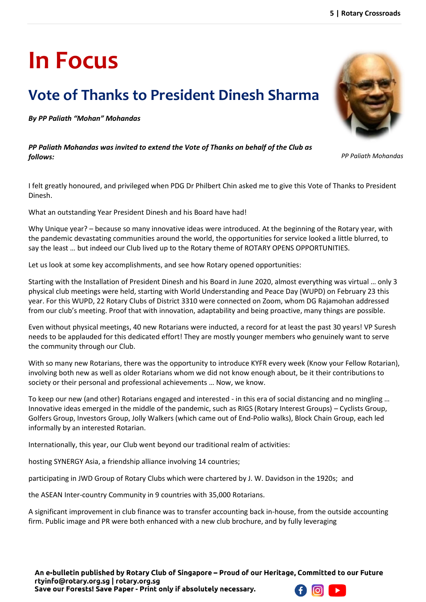# **In Focus**

## **Vote of Thanks to President Dinesh Sharma**

*By PP Paliath "Mohan" Mohandas*

*PP Paliath Mohandas was invited to extend the Vote of Thanks on behalf of the Club as follows:* 

I felt greatly honoured, and privileged when PDG Dr Philbert Chin asked me to give this Vote of Thanks to President Dinesh.

What an outstanding Year President Dinesh and his Board have had!

Why Unique year? – because so many innovative ideas were introduced. At the beginning of the Rotary year, with the pandemic devastating communities around the world, the opportunities for service looked a little blurred, to say the least … but indeed our Club lived up to the Rotary theme of ROTARY OPENS OPPORTUNITIES.

Let us look at some key accomplishments, and see how Rotary opened opportunities:

Starting with the Installation of President Dinesh and his Board in June 2020, almost everything was virtual … only 3 physical club meetings were held, starting with World Understanding and Peace Day (WUPD) on February 23 this year. For this WUPD, 22 Rotary Clubs of District 3310 were connected on Zoom, whom DG Rajamohan addressed from our club's meeting. Proof that with innovation, adaptability and being proactive, many things are possible.

Even without physical meetings, 40 new Rotarians were inducted, a record for at least the past 30 years! VP Suresh needs to be applauded for this dedicated effort! They are mostly younger members who genuinely want to serve the community through our Club.

With so many new Rotarians, there was the opportunity to introduce KYFR every week (Know your Fellow Rotarian), involving both new as well as older Rotarians whom we did not know enough about, be it their contributions to society or their personal and professional achievements … Now, we know.

To keep our new (and other) Rotarians engaged and interested - in this era of social distancing and no mingling … Innovative ideas emerged in the middle of the pandemic, such as RIGS (Rotary Interest Groups) – Cyclists Group, Golfers Group, Investors Group, Jolly Walkers (which came out of End-Polio walks), Block Chain Group, each led informally by an interested Rotarian.

Internationally, this year, our Club went beyond our traditional realm of activities:

hosting SYNERGY Asia, a friendship alliance involving 14 countries;

participating in JWD Group of Rotary Clubs which were chartered by J. W. Davidson in the 1920s; and

the ASEAN Inter-country Community in 9 countries with 35,000 Rotarians.

A significant improvement in club finance was to transfer accounting back in-house, from the outside accounting firm. Public image and PR were both enhanced with a new club brochure, and by fully leveraging



*PP Paliath Mohandas*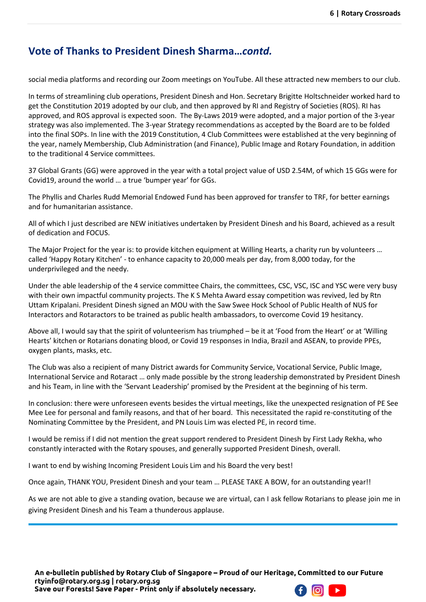#### **Vote of Thanks to President Dinesh Sharma…***contd.*

social media platforms and recording our Zoom meetings on YouTube. All these attracted new members to our club.

In terms of streamlining club operations, President Dinesh and Hon. Secretary Brigitte Holtschneider worked hard to get the Constitution 2019 adopted by our club, and then approved by RI and Registry of Societies (ROS). RI has approved, and ROS approval is expected soon. The By-Laws 2019 were adopted, and a major portion of the 3-year strategy was also implemented. The 3-year Strategy recommendations as accepted by the Board are to be folded into the final SOPs. In line with the 2019 Constitution, 4 Club Committees were established at the very beginning of the year, namely Membership, Club Administration (and Finance), Public Image and Rotary Foundation, in addition to the traditional 4 Service committees.

37 Global Grants (GG) were approved in the year with a total project value of USD 2.54M, of which 15 GGs were for Covid19, around the world … a true 'bumper year' for GGs.

The Phyllis and Charles Rudd Memorial Endowed Fund has been approved for transfer to TRF, for better earnings and for humanitarian assistance.

All of which I just described are NEW initiatives undertaken by President Dinesh and his Board, achieved as a result of dedication and FOCUS.

The Major Project for the year is: to provide kitchen equipment at Willing Hearts, a charity run by volunteers … called 'Happy Rotary Kitchen' - to enhance capacity to 20,000 meals per day, from 8,000 today, for the underprivileged and the needy.

Under the able leadership of the 4 service committee Chairs, the committees, CSC, VSC, ISC and YSC were very busy with their own impactful community projects. The K S Mehta Award essay competition was revived, led by Rtn Uttam Kripalani. President Dinesh signed an MOU with the Saw Swee Hock School of Public Health of NUS for Interactors and Rotaractors to be trained as public health ambassadors, to overcome Covid 19 hesitancy.

Above all, I would say that the spirit of volunteerism has triumphed – be it at 'Food from the Heart' or at 'Willing Hearts' kitchen or Rotarians donating blood, or Covid 19 responses in India, Brazil and ASEAN, to provide PPEs, oxygen plants, masks, etc.

The Club was also a recipient of many District awards for Community Service, Vocational Service, Public Image, International Service and Rotaract … only made possible by the strong leadership demonstrated by President Dinesh and his Team, in line with the 'Servant Leadership' promised by the President at the beginning of his term.

In conclusion: there were unforeseen events besides the virtual meetings, like the unexpected resignation of PE See Mee Lee for personal and family reasons, and that of her board. This necessitated the rapid re-constituting of the Nominating Committee by the President, and PN Louis Lim was elected PE, in record time.

I would be remiss if I did not mention the great support rendered to President Dinesh by First Lady Rekha, who constantly interacted with the Rotary spouses, and generally supported President Dinesh, overall.

I want to end by wishing Incoming President Louis Lim and his Board the very best!

Once again, THANK YOU, President Dinesh and your team … PLEASE TAKE A BOW, for an outstanding year!!

As we are not able to give a standing ovation, because we are virtual, can I ask fellow Rotarians to please join me in giving President Dinesh and his Team a thunderous applause.

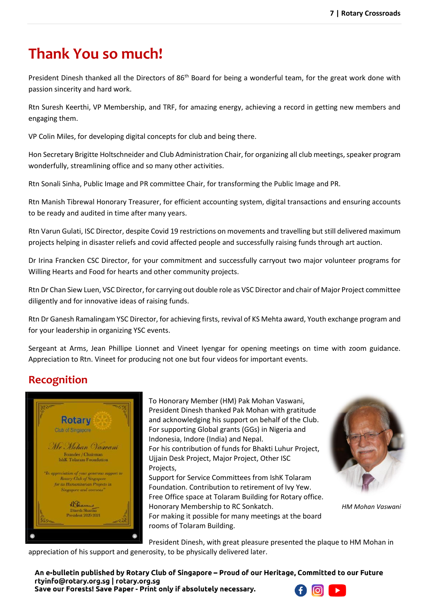#### **Thank You so much!**

President Dinesh thanked all the Directors of 86<sup>th</sup> Board for being a wonderful team, for the great work done with passion sincerity and hard work.

Rtn Suresh Keerthi, VP Membership, and TRF, for amazing energy, achieving a record in getting new members and engaging them.

VP Colin Miles, for developing digital concepts for club and being there.

Hon Secretary Brigitte Holtschneider and Club Administration Chair, for organizing all club meetings, speaker program wonderfully, streamlining office and so many other activities.

Rtn Sonali Sinha, Public Image and PR committee Chair, for transforming the Public Image and PR.

Rtn Manish Tibrewal Honorary Treasurer, for efficient accounting system, digital transactions and ensuring accounts to be ready and audited in time after many years.

Rtn Varun Gulati, ISC Director, despite Covid 19 restrictions on movements and travelling but still delivered maximum projects helping in disaster reliefs and covid affected people and successfully raising funds through art auction.

Dr Irina Francken CSC Director, for your commitment and successfully carryout two major volunteer programs for Willing Hearts and Food for hearts and other community projects.

Rtn Dr Chan Siew Luen, VSC Director, for carrying out double role as VSC Director and chair of Major Project committee diligently and for innovative ideas of raising funds.

Rtn Dr Ganesh Ramalingam YSC Director, for achieving firsts, revival of KS Mehta award, Youth exchange program and for your leadership in organizing YSC events.

Sergeant at Arms, Jean Phillipe Lionnet and Vineet Iyengar for opening meetings on time with zoom guidance. Appreciation to Rtn. Vineet for producing not one but four videos for important events.

#### **Recognition**



To Honorary Member (HM) Pak Mohan Vaswani, President Dinesh thanked Pak Mohan with gratitude and acknowledging his support on behalf of the Club. For supporting Global grants (GGs) in Nigeria and Indonesia, Indore (India) and Nepal. For his contribution of funds for Bhakti Luhur Project, Ujjain Desk Project, Major Project, Other ISC

Projects,

Support for Service Committees from IshK Tolaram Foundation. Contribution to retirement of Ivy Yew. Free Office space at Tolaram Building for Rotary office. Honorary Membership to RC Sonkatch.

For making it possible for many meetings at the board rooms of Tolaram Building.



*HM Mohan Vaswani*

President Dinesh, with great pleasure presented the plaque to HM Mohan in

appreciation of his support and generosity, to be physically delivered later.

An e-bulletin published by Rotary Club of Singapore - Proud of our Heritage, Committed to our Future rtyinfo@rotary.org.sg | rotary.org.sg

Save our Forests! Save Paper - Print only if absolutely necessary.

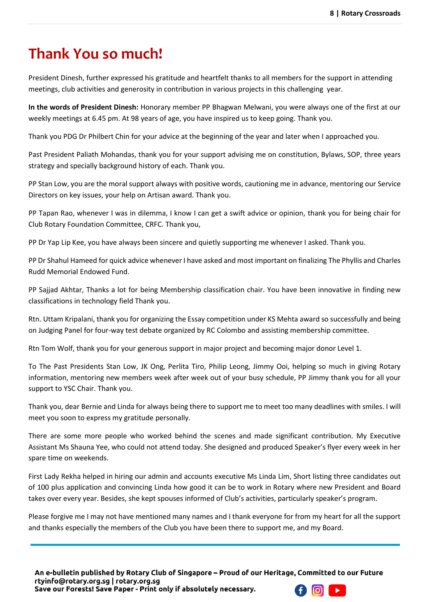#### **Thank You so much!**

President Dinesh, further expressed his gratitude and heartfelt thanks to all members for the support in attending meetings, club activities and generosity in contribution in various projects in this challenging year.

**In the words of President Dinesh:** Honorary member PP Bhagwan Melwani, you were always one of the first at our weekly meetings at 6.45 pm. At 98 years of age, you have inspired us to keep going. Thank you.

Thank you PDG Dr Philbert Chin for your advice at the beginning of the year and later when I approached you.

Past President Paliath Mohandas, thank you for your support advising me on constitution, Bylaws, SOP, three years strategy and specially background history of each. Thank you.

PP Stan Low, you are the moral support always with positive words, cautioning me in advance, mentoring our Service Directors on key issues, your help on Artisan award. Thank you.

PP Tapan Rao, whenever I was in dilemma, I know I can get a swift advice or opinion, thank you for being chair for Club Rotary Foundation Committee, CRFC. Thank you,

PP Dr Yap Lip Kee, you have always been sincere and quietly supporting me whenever I asked. Thank you.

PP Dr Shahul Hameed for quick advice whenever I have asked and most important on finalizing The Phyllis and Charles Rudd Memorial Endowed Fund.

PP Sajjad Akhtar, Thanks a lot for being Membership classification chair. You have been innovative in finding new classifications in technology field Thank you.

Rtn. Uttam Kripalani, thank you for organizing the Essay competition under KS Mehta award so successfully and being on Judging Panel for four-way test debate organized by RC Colombo and assisting membership committee.

Rtn Tom Wolf, thank you for your generous support in major project and becoming major donor Level 1.

To The Past Presidents Stan Low, JK Ong, Perlita Tiro, Philip Leong, Jimmy Ooi, helping so much in giving Rotary information, mentoring new members week after week out of your busy schedule, PP Jimmy thank you for all your support to YSC Chair. Thank you.

Thank you, dear Bernie and Linda for always being there to support me to meet too many deadlines with smiles. I will meet you soon to express my gratitude personally.

There are some more people who worked behind the scenes and made significant contribution. My Executive Assistant Ms Shauna Yee, who could not attend today. She designed and produced Speaker's flyer every week in her spare time on weekends.

First Lady Rekha helped in hiring our admin and accounts executive Ms Linda Lim, Short listing three candidates out of 100 plus application and convincing Linda how good it can be to work in Rotary where new President and Board takes over every year. Besides, she kept spouses informed of Club's activities, particularly speaker's program.

Please forgive me I may not have mentioned many names and I thank everyone for from my heart for all the support and thanks especially the members of the Club you have been there to support me, and my Board.

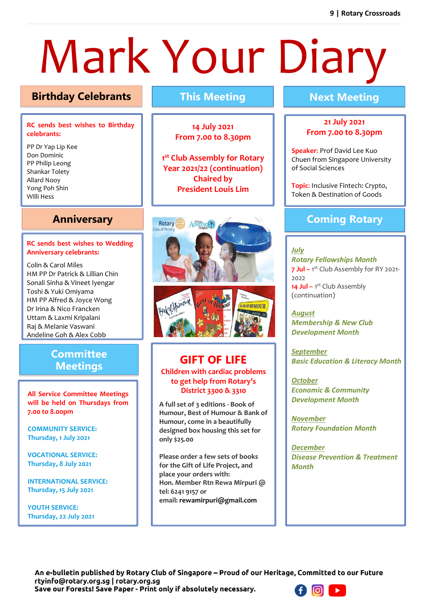# Mark Your Diary

#### **Birthday Celebrants This Meeting Next Meeting**

#### **RC sends best wishes to Birthday celebrants:**

PP Dr Yap Lip Kee Don Dominic PP Philip Leong Shankar Tolety Allard Nooy Yong Poh Shin Willi Hess

#### **Anniversary**

#### **RC sends best wishes to Wedding Anniversary celebrants: Celebrants**

Colin & Carol Miles HM PP Dr Patrick & Lillian Chin Sonali Sinha & Vineet Iyengar Toshi & Yuki Omiyama HM PP Alfred & Joyce Wong Dr Irina & Nico Francken Uttam & Laxmi Kripalani Raj & Melanie Vaswani Andeline Goh & Alex Cobb

#### **Committee Meetings**

**All Service Committee Meetings will be held on Thursdays from 7.00 to 8.00pm**

**COMMUNITY SERVICE: Thursday, 1 July 2021**

**VOCATIONAL SERVICE: Thursday, 8 July 2021**

**INTERNATIONAL SERVICE: Thursday, 15 July 2021**

**YOUTH SERVICE: Thursday, 22 July 2021**

**14 July 2021 From 7.00 to 8.30pm**

**1 st Club Assembly for Rotary Year 2021/22 (continuation) Chaired by President Louis Lim**



#### **GIFT OF LIFE Children with cardiac problems to get help from Rotary's District 3300 & 3310**

**A full set of 3 editions - Book of Humour, Best of Humour & Bank of Humour, come in a beautifully designed box housing this set for only \$25.00**

**Please order a few sets of books for the Gift of Life Project, and place your orders with: Hon. Member Rtn Rewa Mirpuri @ tel: 6241 9157 or email: rewamirpuri@gmail.com** 

#### **21 July 2021 From 7.00 to 8.30pm**

**Speaker**: Prof David Lee Kuo Chuen from Singapore University of Social Sciences

**Topic**: Inclusive Fintech: Crypto, Token & Destination of Goods

#### **Coming Rotary**

**Events**

*July Rotary Fellowships Month* **7 Jul –** 1 st Club Assembly for RY 2021- 2022 **14 Jul –** 1 st Club Assembly (continuation)

*August Membership & New Club Development Month*

*September Basic Education & Literacy Month*

*October Economic & Community Development Month*

*November Rotary Foundation Month*

*December Disease Prevention & Treatment Month*